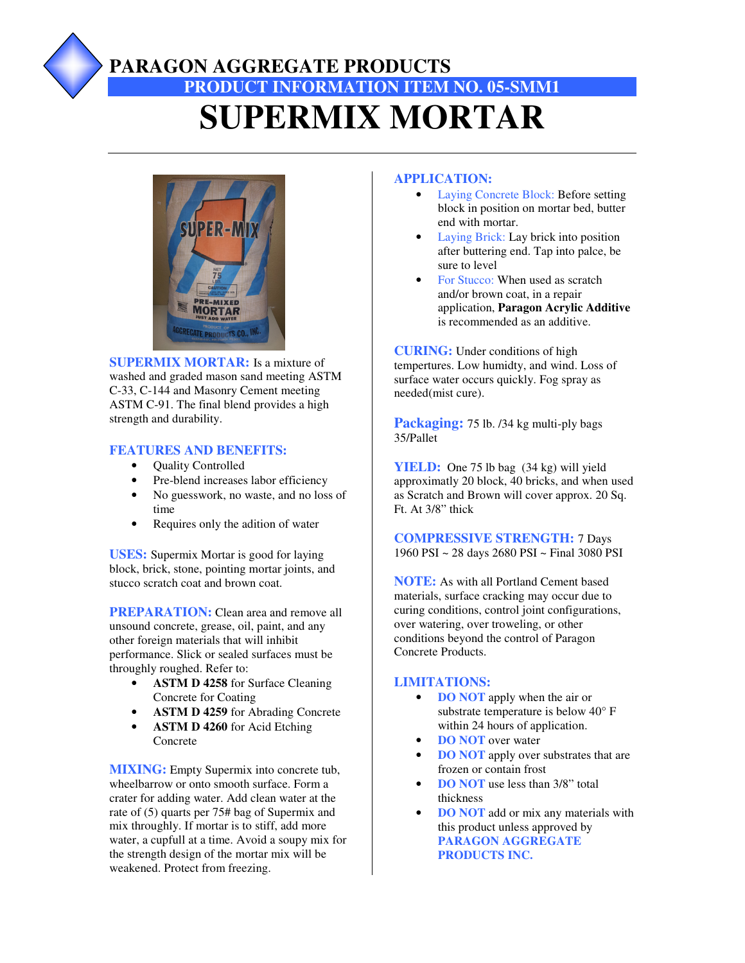# **PARAGON AGGREGATE PRODUCTS PRODUCT INFORMATION ITEM NO. 05-SMM1 SUPERMIX MORTAR**



**SUPERMIX MORTAR:** Is a mixture of washed and graded mason sand meeting ASTM C-33, C-144 and Masonry Cement meeting ASTM C-91. The final blend provides a high strength and durability.

### **FEATURES AND BENEFITS:**

- Quality Controlled
- Pre-blend increases labor efficiency
- No guesswork, no waste, and no loss of time
- Requires only the adition of water

**USES:** Supermix Mortar is good for laying block, brick, stone, pointing mortar joints, and stucco scratch coat and brown coat.

**PREPARATION:** Clean area and remove all unsound concrete, grease, oil, paint, and any other foreign materials that will inhibit performance. Slick or sealed surfaces must be throughly roughed. Refer to:

- **ASTM D 4258** for Surface Cleaning Concrete for Coating
- **ASTM D 4259** for Abrading Concrete
- **ASTM D 4260** for Acid Etching Concrete

**MIXING:** Empty Supermix into concrete tub, wheelbarrow or onto smooth surface. Form a crater for adding water. Add clean water at the rate of (5) quarts per 75# bag of Supermix and mix throughly. If mortar is to stiff, add more water, a cupfull at a time. Avoid a soupy mix for the strength design of the mortar mix will be weakened. Protect from freezing.

### **APPLICATION:**

- Laying Concrete Block: Before setting block in position on mortar bed, butter end with mortar.
- Laying Brick: Lay brick into position after buttering end. Tap into palce, be sure to level
- For Stucco: When used as scratch and/or brown coat, in a repair application, **Paragon Acrylic Additive** is recommended as an additive.

**CURING:** Under conditions of high tempertures. Low humidty, and wind. Loss of surface water occurs quickly. Fog spray as needed(mist cure).

**Packaging:** 75 lb. /34 kg multi-ply bags 35/Pallet

**YIELD:** One 75 lb bag (34 kg) will yield approximatly 20 block, 40 bricks, and when used as Scratch and Brown will cover approx. 20 Sq. Ft. At 3/8" thick

**COMPRESSIVE STRENGTH:** 7 Days 1960 PSI ~ 28 days 2680 PSI ~ Final 3080 PSI

**NOTE:** As with all Portland Cement based materials, surface cracking may occur due to curing conditions, control joint configurations, over watering, over troweling, or other conditions beyond the control of Paragon Concrete Products.

### **LIMITATIONS:**

- **DO NOT** apply when the air or substrate temperature is below 40° F within 24 hours of application.
- **DO NOT** over water
- **DO NOT** apply over substrates that are frozen or contain frost
- **DO NOT** use less than 3/8" total thickness
- **DO NOT** add or mix any materials with this product unless approved by **PARAGON AGGREGATE PRODUCTS INC.**